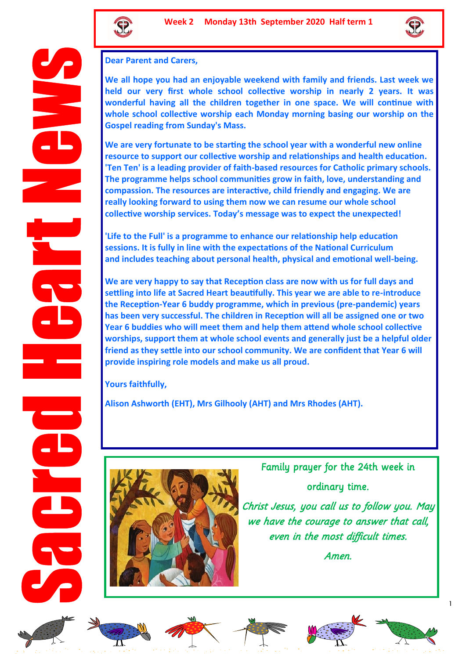



## **Dear Parent and Carers,**

**We all hope you had an enjoyable weekend with family and friends. Last week we held our very first whole school collective worship in nearly 2 years. It was wonderful having all the children together in one space. We will continue with whole school collective worship each Monday morning basing our worship on the Gospel reading from Sunday's Mass.** 

**We are very fortunate to be starting the school year with a wonderful new online resource to support our collective worship and relationships and health education. 'Ten Ten' is a leading provider of faith-based resources for Catholic primary schools. The programme helps school communities grow in faith, love, understanding and compassion. The resources are interactive, child friendly and engaging. We are really looking forward to using them now we can resume our whole school collective worship services. Today's message was to expect the unexpected!**

**'Life to the Full' is a programme to enhance our relationship help education sessions. It is fully in line with the expectations of the National Curriculum and includes teaching about personal health, physical and emotional well-being.**

**We are very happy to say that Reception class are now with us for full days and settling into life at Sacred Heart beautifully. This year we are able to re-introduce the Reception-Year 6 buddy programme, which in previous (pre-pandemic) years has been very successful. The children in Reception will all be assigned one or two Year 6 buddies who will meet them and help them attend whole school collective worships, support them at whole school events and generally just be a helpful older friend as they settle into our school community. We are confident that Year 6 will provide inspiring role models and make us all proud.**

**Yours faithfully,**

**Alison Ashworth (EHT), Mrs Gilhooly (AHT) and Mrs Rhodes (AHT).**



Family prayer for the 24th week in ordinary time.

Christ Jesus, you call us to follow you. May we have the courage to answer that call, even in the most difficult times.

Amen.













1